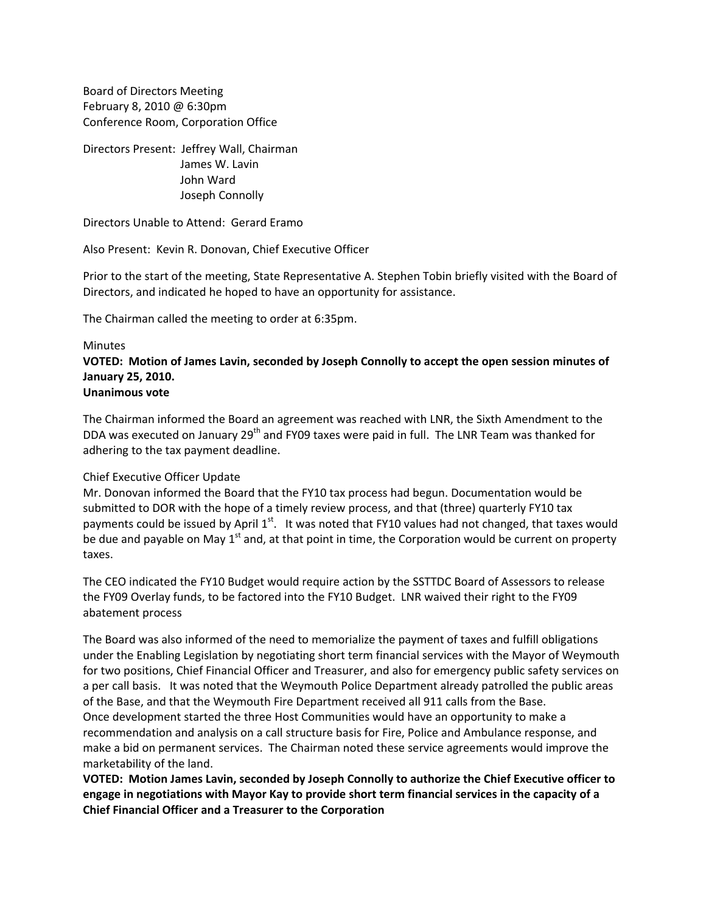Board of Directors Meeting February 8, 2010 @ 6:30pm Conference Room, Corporation Office

Directors Present: Jeffrey Wall, Chairman James W. Lavin John Ward Joseph Connolly

Directors Unable to Attend: Gerard Eramo

Also Present: Kevin R. Donovan, Chief Executive Officer

Prior to the start of the meeting, State Representative A. Stephen Tobin briefly visited with the Board of Directors, and indicated he hoped to have an opportunity for assistance.

The Chairman called the meeting to order at 6:35pm.

#### **Minutes**

**VOTED: Motion of James Lavin, seconded by Joseph Connolly to accept the open session minutes of January 25, 2010. Unanimous vote**

# The Chairman informed the Board an agreement was reached with LNR, the Sixth Amendment to the DDA was executed on January 29<sup>th</sup> and FY09 taxes were paid in full. The LNR Team was thanked for

### Chief Executive Officer Update

adhering to the tax payment deadline.

Mr. Donovan informed the Board that the FY10 tax process had begun. Documentation would be submitted to DOR with the hope of a timely review process, and that (three) quarterly FY10 tax payments could be issued by April  $1^{st}$ . It was noted that FY10 values had not changed, that taxes would be due and payable on May  $1<sup>st</sup>$  and, at that point in time, the Corporation would be current on property taxes.

The CEO indicated the FY10 Budget would require action by the SSTTDC Board of Assessors to release the FY09 Overlay funds, to be factored into the FY10 Budget. LNR waived their right to the FY09 abatement process

The Board was also informed of the need to memorialize the payment of taxes and fulfill obligations under the Enabling Legislation by negotiating short term financial services with the Mayor of Weymouth for two positions, Chief Financial Officer and Treasurer, and also for emergency public safety services on a per call basis. It was noted that the Weymouth Police Department already patrolled the public areas of the Base, and that the Weymouth Fire Department received all 911 calls from the Base. Once development started the three Host Communities would have an opportunity to make a recommendation and analysis on a call structure basis for Fire, Police and Ambulance response, and make a bid on permanent services. The Chairman noted these service agreements would improve the marketability of the land.

**VOTED: Motion James Lavin, seconded by Joseph Connolly to authorize the Chief Executive officer to engage in negotiations with Mayor Kay to provide short term financial services in the capacity of a Chief Financial Officer and a Treasurer to the Corporation**